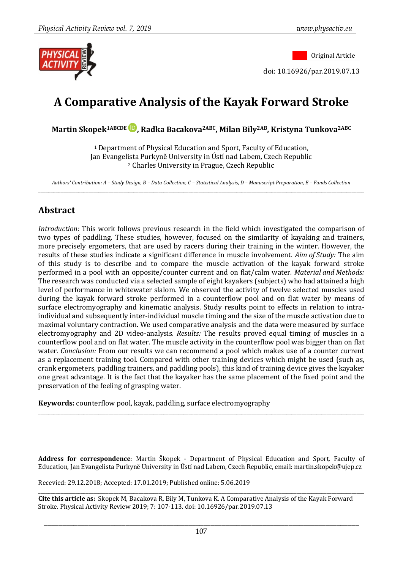Original Article

doi: 10.16926/par.2019.07.13

# **A Comparative Analysis of the Kayak Forward Stroke**

**Martin Skopek1ABCDE , Radka Bacakova2ABC, Milan Bily2AB, Kristyna Tunkova2ABC**

<sup>1</sup> Department of Physical Education and Sport, Faculty of Education, Jan Evangelista Purkyně University in Ústí nad Labem, Czech Republic <sup>2</sup> Charles University in Prague, Czech Republic

*Authors' Contribution: A – Study Design, B – Data Collection, C – Statistical Analysis, D – Manuscript Preparation, E – Funds Collection* \_\_\_\_\_\_\_\_\_\_\_\_\_\_\_\_\_\_\_\_\_\_\_\_\_\_\_\_\_\_\_\_\_\_\_\_\_\_\_\_\_\_\_\_\_\_\_\_\_\_\_\_\_\_\_\_\_\_\_\_\_\_\_\_\_\_\_\_\_\_\_\_\_\_\_\_\_\_\_\_\_\_\_\_\_\_\_\_\_\_\_\_\_\_\_\_\_\_\_\_\_\_\_\_\_\_\_\_\_\_\_\_\_\_\_\_\_\_\_\_\_\_\_\_\_\_\_\_\_\_

### **Abstract**

*Introduction:* This work follows previous research in the field which investigated the comparison of two types of paddling. These studies, however, focused on the similarity of kayaking and trainers, more precisely ergometers, that are used by racers during their training in the winter. However, the results of these studies indicate a significant difference in muscle involvement. *Aim of Study:* The aim of this study is to describe and to compare the muscle activation of the kayak forward stroke performed in a pool with an opposite/counter current and on flat/calm water. *Material and Methods:* The research was conducted via a selected sample of eight kayakers (subjects) who had attained a high level of performance in whitewater slalom. We observed the activity of twelve selected muscles used during the kayak forward stroke performed in a counterflow pool and on flat water by means of surface electromyography and kinematic analysis. Study results point to effects in relation to intraindividual and subsequently inter-individual muscle timing and the size of the muscle activation due to maximal voluntary contraction. We used comparative analysis and the data were measured by surface electromyography and 2D video-analysis. *Results:* The results proved equal timing of muscles in a counterflow pool and on flat water. The muscle activity in the counterflow pool was bigger than on flat water. *Conclusion:* From our results we can recommend a pool which makes use of a counter current as a replacement training tool. Compared with other training devices which might be used (such as, crank ergometers, paddling trainers, and paddling pools), this kind of training device gives the kayaker one great advantage. It is the fact that the kayaker has the same placement of the fixed point and the preservation of the feeling of grasping water.

**Keywords:** counterflow pool, kayak, paddling, surface electromyography

**Address for correspondence**: Martin Škopek - Department of Physical Education and Sport, Faculty of Education, Jan Evangelista Purkyně University in Ústí nad Labem, Czech Republic, email: martin.skopek@ujep.cz

\_\_\_\_\_\_\_\_\_\_\_\_\_\_\_\_\_\_\_\_\_\_\_\_\_\_\_\_\_\_\_\_\_\_\_\_\_\_\_\_\_\_\_\_\_\_\_\_\_\_\_\_\_\_\_\_\_\_\_\_\_\_\_\_\_\_\_\_\_\_\_\_\_\_\_\_\_\_\_\_\_\_\_\_\_\_\_\_\_\_\_\_\_\_\_\_\_\_\_\_\_\_\_\_\_\_\_\_\_\_\_\_\_\_\_\_\_\_\_\_\_\_\_\_\_\_\_\_\_\_

Recevied: 29.12.2018; Accepted: 17.01.2019; Published online: 5.06.2019

\_\_\_\_\_\_\_\_\_\_\_\_\_\_\_\_\_\_\_\_\_\_\_\_\_\_\_\_\_\_\_\_\_\_\_\_\_\_\_\_\_\_\_\_\_\_\_\_\_\_\_\_\_\_\_\_\_\_\_\_\_\_\_\_\_\_\_\_\_\_\_\_\_\_\_\_\_\_\_\_\_\_\_\_\_\_\_\_\_\_\_\_\_\_\_\_\_\_\_\_\_\_\_\_\_\_\_\_\_\_\_\_\_\_\_\_\_\_\_\_\_\_\_\_\_\_\_\_\_\_ **Cite this article as:** Skopek M, Bacakova R, Bily M, Tunkova K. A Comparative Analysis of the Kayak Forward Stroke. Physical Activity Review 2019; 7: 107-113. doi: 10.16926/par.2019.07.13

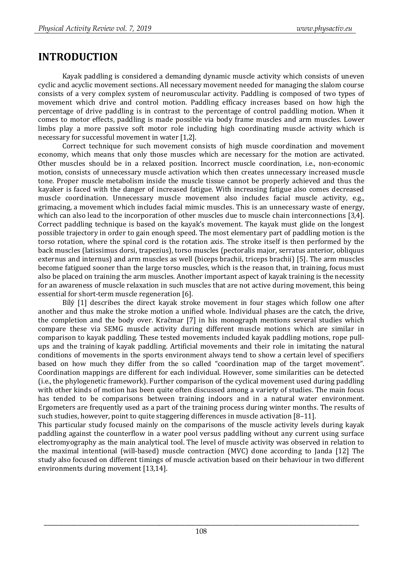### **INTRODUCTION**

Kayak paddling is considered a demanding dynamic muscle activity which consists of uneven cyclic and acyclic movement sections. All necessary movement needed for managing the slalom course consists of a very complex system of neuromuscular activity. Paddling is composed of two types of movement which drive and control motion. Paddling efficacy increases based on how high the percentage of drive paddling is in contrast to the percentage of control paddling motion. When it comes to motor effects, paddling is made possible via body frame muscles and arm muscles. Lower limbs play a more passive soft motor role including high coordinating muscle activity which is necessary for successful movement in water [1,2].

Correct technique for such movement consists of high muscle coordination and movement economy, which means that only those muscles which are necessary for the motion are activated. Other muscles should be in a relaxed position. Incorrect muscle coordination, i.e., non-economic motion, consists of unnecessary muscle activation which then creates unnecessary increased muscle tone. Proper muscle metabolism inside the muscle tissue cannot be properly achieved and thus the kayaker is faced with the danger of increased fatigue. With increasing fatigue also comes decreased muscle coordination. Unnecessary muscle movement also includes facial muscle activity, e.g., grimacing, a movement which includes facial mimic muscles. This is an unnecessary waste of energy, which can also lead to the incorporation of other muscles due to muscle chain interconnections [3,4]. Correct paddling technique is based on the kayak's movement. The kayak must glide on the longest possible trajectory in order to gain enough speed. The most elementary part of paddling motion is the torso rotation, where the spinal cord is the rotation axis. The stroke itself is then performed by the back muscles (latissimus dorsi, trapezius), torso muscles (pectoralis major, serratus anterior, obliquus externus and internus) and arm muscles as well (biceps brachii, triceps brachii) [5]. The arm muscles become fatigued sooner than the large torso muscles, which is the reason that, in training, focus must also be placed on training the arm muscles. Another important aspect of kayak training is the necessity for an awareness of muscle relaxation in such muscles that are not active during movement, this being essential for short-term muscle regeneration [6].

Bílý [1] describes the direct kayak stroke movement in four stages which follow one after another and thus make the stroke motion a unified whole. Individual phases are the catch, the drive, the completion and the body over. Kračmar [7] in his monograph mentions several studies which compare these via SEMG muscle activity during different muscle motions which are similar in comparison to kayak paddling. These tested movements included kayak paddling motions, rope pullups and the training of kayak paddling. Artificial movements and their role in imitating the natural conditions of movements in the sports environment always tend to show a certain level of specifiers based on how much they differ from the so called "coordination map of the target movement". Coordination mappings are different for each individual. However, some similarities can be detected (i.e., the phylogenetic framework). Further comparison of the cyclical movement used during paddling with other kinds of motion has been quite often discussed among a variety of studies. The main focus has tended to be comparisons between training indoors and in a natural water environment. Ergometers are frequently used as a part of the training process during winter months. The results of such studies, however, point to quite staggering differences in muscle activation [8–11].

This particular study focused mainly on the comparisons of the muscle activity levels during kayak paddling against the counterflow in a water pool versus paddling without any current using surface electromyography as the main analytical tool. The level of muscle activity was observed in relation to the maximal intentional (will-based) muscle contraction (MVC) done according to Janda [12] The study also focused on different timings of muscle activation based on their behaviour in two different environments during movement [13,14].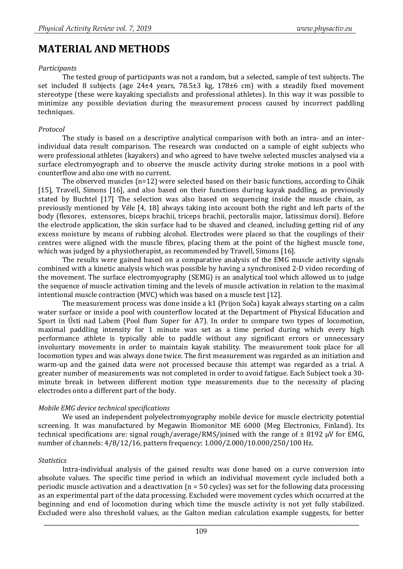### **MATERIAL AND METHODS**

#### *Participants*

The tested group of participants was not a random, but a selected, sample of test subjects. The set included 8 subjects (age 24±4 years, 78.5±3 kg, 178±6 cm) with a steadily fixed movement stereotype (these were kayaking specialists and professional athletes). In this way it was possible to minimize any possible deviation during the measurement process caused by incorrect paddling techniques.

#### *Protocol*

The study is based on a descriptive analytical comparison with both an intra- and an interindividual data result comparison. The research was conducted on a sample of eight subjects who were professional athletes (kayakers) and who agreed to have twelve selected muscles analysed via a surface electromyograph and to observe the muscle activity during stroke motions in a pool with counterflow and also one with no current.

The observed muscles  $(n=12)$  were selected based on their basic functions, according to Čihák [15], Travell, Simons [16], and also based on their functions during kayak paddling, as previously stated by Buchtel [17] The selection was also based on sequencing inside the muscle chain, as previously mentioned by Véle [4, 18] always taking into account both the right and left parts of the body (flexores, extensores, biceps brachii, triceps brachii, pectoralis major, latissimus dorsi). Before the electrode application, the skin surface had to be shaved and cleaned, including getting rid of any excess moisture by means of rubbing alcohol. Electrodes were placed so that the couplings of their centres were aligned with the muscle fibres, placing them at the point of the highest muscle tone, which was judged by a physiotherapist, as recommended by Travell, Simons [16].

The results were gained based on a comparative analysis of the EMG muscle activity signals combined with a kinetic analysis which was possible by having a synchronised 2-D video recording of the movement. The surface electromyography (SEMG) is an analytical tool which allowed us to judge the sequence of muscle activation timing and the levels of muscle activation in relation to the maximal intentional muscle contraction (MVC) which was based on a muscle test [12].

The measurement process was done inside a k1 (Prijon Soča) kayak always starting on a calm water surface or inside a pool with counterflow located at the Department of Physical Education and Sport in Ústí nad Labem (Pool flum Super for A7). In order to compare two types of locomotion, maximal paddling intensity for 1 minute was set as a time period during which every high performance athlete is typically able to paddle without any significant errors or unnecessary involuntary movements in order to maintain kayak stability. The measurement took place for all locomotion types and was always done twice. The first measurement was regarded as an initiation and warm-up and the gained data were not processed because this attempt was regarded as a trial. A greater number of measurements was not completed in order to avoid fatigue. Each Subject took a 30 minute break in between different motion type measurements due to the necessity of placing electrodes onto a different part of the body.

#### *Mobile EMG device technical specifications*

We used an independent polyelectromyography mobile device for muscle electricity potential screening. It was manufactured by Megawin Biomonitor ME 6000 (Meg Electronics, Finland). Its technical specifications are: signal rough/average/RMS/joined with the range of ± 8192 μV for EMG, number of channels: 4/8/12/16, pattern frequency: 1.000/2.000/10.000/250/100 Hz.

#### *Statistics*

Intra-individual analysis of the gained results was done based on a curve conversion into absolute values. The specific time period in which an individual movement cycle included both a periodic muscle activation and a deactivation (n = 50 cycles) was set for the following data processing as an experimental part of the data processing. Excluded were movement cycles which occurred at the beginning and end of locomotion during which time the muscle activity is not yet fully stabilized. Excluded were also threshold values, as the Galton median calculation example suggests, for better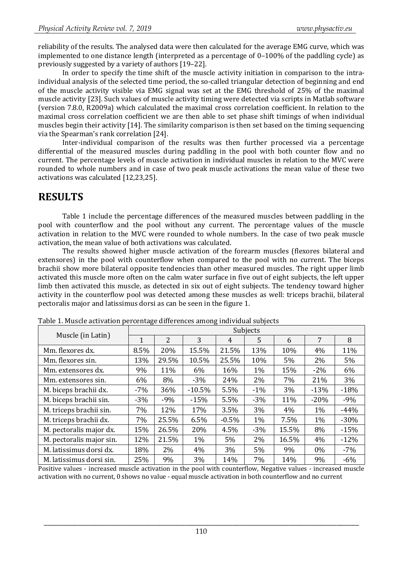reliability of the results. The analysed data were then calculated for the average EMG curve, which was implemented to one distance length (interpreted as a percentage of 0–100% of the paddling cycle) as previously suggested by a variety of authors [19–22].

In order to specify the time shift of the muscle activity initiation in comparison to the intraindividual analysis of the selected time period, the so-called triangular detection of beginning and end of the muscle activity visible via EMG signal was set at the EMG threshold of 25% of the maximal muscle activity [23]. Such values of muscle activity timing were detected via scripts in Matlab software (version 7.8.0, R2009a) which calculated the maximal cross correlation coefficient. In relation to the maximal cross correlation coefficient we are then able to set phase shift timings of when individual muscles begin their activity [14]. The similarity comparison is then set based on the timing sequencing via the Spearman's rank correlation [24].

Inter-individual comparison of the results was then further processed via a percentage differential of the measured muscles during paddling in the pool with both counter flow and no current. The percentage levels of muscle activation in individual muscles in relation to the MVC were rounded to whole numbers and in case of two peak muscle activations the mean value of these two activations was calculated [12,23,25].

### **RESULTS**

Table 1 include the percentage differences of the measured muscles between paddling in the pool with counterflow and the pool without any current. The percentage values of the muscle activation in relation to the MVC were rounded to whole numbers. In the case of two peak muscle activation, the mean value of both activations was calculated.

The results showed higher muscle activation of the forearm muscles (flexores bilateral and extensores) in the pool with counterflow when compared to the pool with no current. The biceps brachii show more bilateral opposite tendencies than other measured muscles. The right upper limb activated this muscle more often on the calm water surface in five out of eight subjects, the left upper limb then activated this muscle, as detected in six out of eight subjects. The tendency toward higher activity in the counterflow pool was detected among these muscles as well: triceps brachii, bilateral pectoralis major and latissimus dorsi as can be seen in the figure 1.

|                          | Subjects |                |          |         |        |       |        |        |  |
|--------------------------|----------|----------------|----------|---------|--------|-------|--------|--------|--|
| Muscle (in Latin)        | 1        | $\overline{2}$ | 3        | 4       | 5      | 6     | 7      | 8      |  |
| Mm. flexores dx.         | 8.5%     | 20%            | 15.5%    | 21.5%   | 13%    | 10%   | 4%     | 11%    |  |
| Mm. flexores sin.        | 13%      | 29.5%          | 10.5%    | 25.5%   | 10%    | 5%    | 2%     | $5\%$  |  |
| Mm. extensores dx.       | 9%       | 11%            | 6%       | 16%     | 1%     | 15%   | $-2\%$ | 6%     |  |
| Mm. extensores sin.      | 6%       | 8%             | $-3%$    | 24%     | 2%     | 7%    | 21%    | 3%     |  |
| M. biceps brachii dx.    | $-7%$    | 36%            | $-10.5%$ | 5.5%    | $-1\%$ | $3\%$ | $-13%$ | $-18%$ |  |
| M. biceps brachii sin.   | $-3%$    | $-9%$          | $-15%$   | 5.5%    | $-3%$  | 11%   | $-20%$ | $-9%$  |  |
| M. triceps brachii sin.  | 7%       | 12%            | 17%      | 3.5%    | 3%     | 4%    | 1%     | $-44%$ |  |
| M. triceps brachii dx.   | 7%       | 25.5%          | 6.5%     | $-0.5%$ | 1%     | 7.5%  | 1%     | $-30%$ |  |
| M. pectoralis major dx.  | 15%      | 26.5%          | 20%      | 4.5%    | $-3%$  | 15.5% | 8%     | $-15%$ |  |
| M. pectoralis major sin. | 12%      | 21.5%          | 1%       | 5%      | 2%     | 16.5% | 4%     | $-12%$ |  |
| M. latissimus dorsi dx.  | 18%      | 2%             | 4%       | 3%      | 5%     | 9%    | $0\%$  | $-7%$  |  |
| M. latissimus dorsi sin. | 25%      | 9%             | 3%       | 14%     | 7%     | 14%   | 9%     | $-6\%$ |  |

Table 1. Muscle activation percentage differences among individual subjects

Positive values - increased muscle activation in the pool with counterflow, Negative values - increased muscle activation with no current, 0 shows no value - equal muscle activation in both counterflow and no current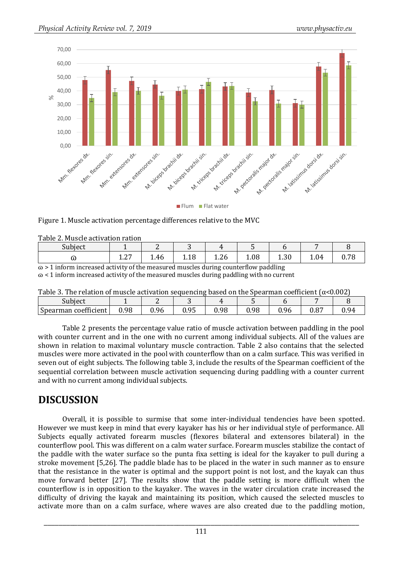

Flum Flat water

#### Figure 1. Muscle activation percentage differences relative to the MVC

| Table 2. Muscle activation ration |                  |      |      |                  |      |            |      |            |  |
|-----------------------------------|------------------|------|------|------------------|------|------------|------|------------|--|
| Subject                           |                  | -    | ັ    |                  |      |            |      |            |  |
| w                                 | $\Omega$<br>1.Z, | 1.46 | 1.18 | $\Omega$<br>1.Zb | 1.08 | ററ<br>1.3U | 1.04 | 70<br>υ. / |  |

 $\infty$  > 1 inform increased activity of the measured muscles during counterflow paddling

 $\infty$  < 1 inform increased activity of the measured muscles during paddling with no current

| Table 3. The relation of muscle activation sequencing based on the Spearman coefficient ( $\alpha$ <0.002) |  |  |  |  |  |
|------------------------------------------------------------------------------------------------------------|--|--|--|--|--|
|                                                                                                            |  |  |  |  |  |

| $\sim$<br>Subject         |      | -    | ີ    |      |      |             |             |                                 |
|---------------------------|------|------|------|------|------|-------------|-------------|---------------------------------|
| coefficient<br>Spearman o | 0.98 | 0.96 | 0.95 | 0.98 | 0.98 | 96<br>v. Ju | 07<br>υ.ο , | $Q_{\Delta}$<br>v. <sub>/</sub> |
|                           |      |      |      |      |      |             |             |                                 |

Table 2 presents the percentage value ratio of muscle activation between paddling in the pool with counter current and in the one with no current among individual subjects. All of the values are shown in relation to maximal voluntary muscle contraction. Table 2 also contains that the selected muscles were more activated in the pool with counterflow than on a calm surface. This was verified in seven out of eight subjects. The following table 3, include the results of the Spearman coefficient of the sequential correlation between muscle activation sequencing during paddling with a counter current and with no current among individual subjects.

### **DISCUSSION**

Overall, it is possible to surmise that some inter-individual tendencies have been spotted. However we must keep in mind that every kayaker has his or her individual style of performance. All Subjects equally activated forearm muscles (flexores bilateral and extensores bilateral) in the counterflow pool. This was different on a calm water surface. Forearm muscles stabilize the contact of the paddle with the water surface so the punta fixa setting is ideal for the kayaker to pull during a stroke movement [5,26]. The paddle blade has to be placed in the water in such manner as to ensure that the resistance in the water is optimal and the support point is not lost, and the kayak can thus move forward better [27]. The results show that the paddle setting is more difficult when the counterflow is in opposition to the kayaker. The waves in the water circulation crate increased the difficulty of driving the kayak and maintaining its position, which caused the selected muscles to activate more than on a calm surface, where waves are also created due to the paddling motion,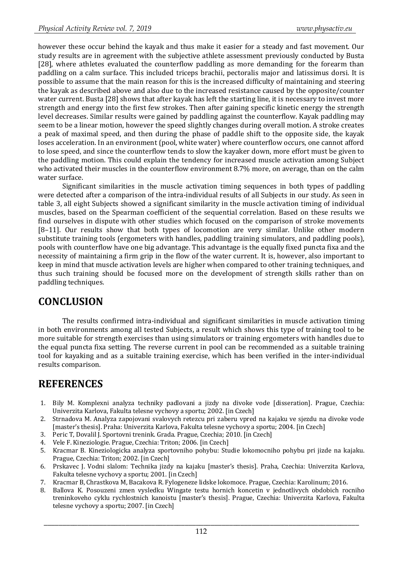however these occur behind the kayak and thus make it easier for a steady and fast movement. Our study results are in agreement with the subjective athlete assessment previously conducted by Busta [28], where athletes evaluated the counterflow paddling as more demanding for the forearm than paddling on a calm surface. This included triceps brachii, pectoralis major and latissimus dorsi. It is possible to assume that the main reason for this is the increased difficulty of maintaining and steering the kayak as described above and also due to the increased resistance caused by the opposite/counter water current. Busta [28] shows that after kayak has left the starting line, it is necessary to invest more strength and energy into the first few strokes. Then after gaining specific kinetic energy the strength level decreases. Similar results were gained by paddling against the counterflow. Kayak paddling may seem to be a linear motion, however the speed slightly changes during overall motion. A stroke creates a peak of maximal speed, and then during the phase of paddle shift to the opposite side, the kayak loses acceleration. In an environment (pool, white water) where counterflow occurs, one cannot afford to lose speed, and since the counterflow tends to slow the kayaker down, more effort must be given to the paddling motion. This could explain the tendency for increased muscle activation among Subject who activated their muscles in the counterflow environment 8.7% more, on average, than on the calm water surface.

Significant similarities in the muscle activation timing sequences in both types of paddling were detected after a comparison of the intra-individual results of all Subjects in our study. As seen in table 3, all eight Subjects showed a significant similarity in the muscle activation timing of individual muscles, based on the Spearman coefficient of the sequential correlation. Based on these results we find ourselves in dispute with other studies which focused on the comparison of stroke movements [8–11]. Our results show that both types of locomotion are very similar. Unlike other modern substitute training tools (ergometers with handles, paddling training simulators, and paddling pools), pools with counterflow have one big advantage. This advantage is the equally fixed puncta fixa and the necessity of maintaining a firm grip in the flow of the water current. It is, however, also important to keep in mind that muscle activation levels are higher when compared to other training techniques, and thus such training should be focused more on the development of strength skills rather than on paddling techniques.

## **CONCLUSION**

The results confirmed intra-individual and significant similarities in muscle activation timing in both environments among all tested Subjects, a result which shows this type of training tool to be more suitable for strength exercises than using simulators or training ergometers with handles due to the equal puncta fixa setting. The reverse current in pool can be recommended as a suitable training tool for kayaking and as a suitable training exercise, which has been verified in the inter-individual results comparison.

## **REFERENCES**

- 1. Bily M. Komplexni analyza techniky padlovani a jizdy na divoke vode [disseration]. Prague, Czechia: Univerzita Karlova, Fakulta telesne vychovy a sportu; 2002. [in Czech]
- 2. Strnadova M. Analyza zapojovani svalovych retezcu pri zaberu vpred na kajaku ve sjezdu na divoke vode [master's thesis]. Praha: Univerzita Karlova, Fakulta telesne vychovy a sportu; 2004. [in Czech]
- 3. Peric T, Dovalil J. Sportovni trenink. Grada. Prague, Czechia; 2010. [in Czech]
- 4. Vele F. Kineziologie. Prague, Czechia: Triton; 2006. [in Czech]
- 5. Kracmar B. Kineziologicka analyza sportovniho pohybu: Studie lokomocniho pohybu pri jizde na kajaku. Prague, Czechia: Triton; 2002. [in Czech]
- 6. Prskavec J. Vodni slalom: Technika jizdy na kajaku [master's thesis]. Praha, Czechia: Univerzita Karlova, Fakulta telesne vychovy a sportu; 2001. [in Czech]
- 7. Kracmar B, Chrastkova M, Bacakova R. Fylogeneze lidske lokomoce. Prague, Czechia: Karolinum; 2016.
- 8. Ballova K. Posouzeni zmen vysledku Wingate testu hornich koncetin v jednotlivych obdobich rocniho treninkoveho cyklu rychlostnich kanoistu [master's thesis]. Prague, Czechia: Univerzita Karlova, Fakulta telesne vychovy a sportu; 2007. [in Czech]